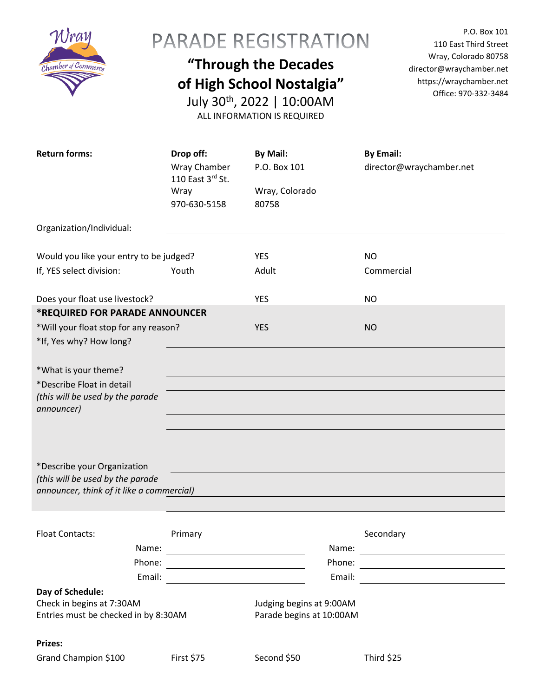

## PARADE REGISTRATION

## **"Through the Decades of High School Nostalgia"**

July 30th, 2022 | 10:00AM ALL INFORMATION IS REQUIRED

P.O. Box 101 110 East Third Street Wray, Colorado 80758 director@wraychamber.net https://wraychamber.net Office: 970-332-3484

| <b>Return forms:</b>                                                          |        | Drop off:<br>Wray Chamber<br>110 East 3rd St.<br>Wray                                                               | By Mail:<br>P.O. Box 101<br>Wray, Colorado |        | <b>By Email:</b><br>director@wraychamber.net          |
|-------------------------------------------------------------------------------|--------|---------------------------------------------------------------------------------------------------------------------|--------------------------------------------|--------|-------------------------------------------------------|
|                                                                               |        | 970-630-5158                                                                                                        | 80758                                      |        |                                                       |
| Organization/Individual:                                                      |        |                                                                                                                     |                                            |        |                                                       |
|                                                                               |        |                                                                                                                     |                                            |        |                                                       |
| Would you like your entry to be judged?                                       |        |                                                                                                                     | <b>YES</b>                                 |        | NO.                                                   |
| If, YES select division:                                                      |        | Youth                                                                                                               | Adult                                      |        | Commercial                                            |
|                                                                               |        |                                                                                                                     |                                            |        |                                                       |
| Does your float use livestock?                                                |        |                                                                                                                     | <b>YES</b>                                 |        | NO.                                                   |
| <b>*REQUIRED FOR PARADE ANNOUNCER</b>                                         |        |                                                                                                                     |                                            |        |                                                       |
| *Will your float stop for any reason?                                         |        |                                                                                                                     | <b>YES</b>                                 |        | <b>NO</b>                                             |
| *If, Yes why? How long?                                                       |        |                                                                                                                     |                                            |        |                                                       |
|                                                                               |        |                                                                                                                     |                                            |        |                                                       |
| *What is your theme?                                                          |        |                                                                                                                     |                                            |        |                                                       |
| *Describe Float in detail                                                     |        |                                                                                                                     |                                            |        |                                                       |
| (this will be used by the parade                                              |        |                                                                                                                     |                                            |        |                                                       |
| announcer)                                                                    |        |                                                                                                                     |                                            |        |                                                       |
|                                                                               |        |                                                                                                                     |                                            |        |                                                       |
|                                                                               |        |                                                                                                                     |                                            |        |                                                       |
|                                                                               |        |                                                                                                                     |                                            |        |                                                       |
| *Describe your Organization                                                   |        |                                                                                                                     |                                            |        |                                                       |
| (this will be used by the parade<br>announcer, think of it like a commercial) |        |                                                                                                                     |                                            |        |                                                       |
|                                                                               |        |                                                                                                                     |                                            |        |                                                       |
|                                                                               |        |                                                                                                                     |                                            |        |                                                       |
| <b>Float Contacts:</b>                                                        |        | Primary                                                                                                             |                                            |        | Secondary                                             |
|                                                                               | Name:  | <u> El antiga de la contenentación de la contenentación de la contenentación de la contenentación de la contene</u> |                                            | Name:  | <u> 1989 - Andrea Stadt Britain, fransk politik (</u> |
|                                                                               | Phone: |                                                                                                                     |                                            | Phone: |                                                       |
|                                                                               | Email: |                                                                                                                     |                                            | Email: |                                                       |
| Day of Schedule:                                                              |        |                                                                                                                     |                                            |        |                                                       |
| Check in begins at 7:30AM                                                     |        |                                                                                                                     | Judging begins at 9:00AM                   |        |                                                       |
| Entries must be checked in by 8:30AM                                          |        |                                                                                                                     | Parade begins at 10:00AM                   |        |                                                       |
|                                                                               |        |                                                                                                                     |                                            |        |                                                       |
| Prizes:                                                                       |        |                                                                                                                     |                                            |        |                                                       |
| Grand Champion \$100                                                          |        | <b>First \$75</b>                                                                                                   | Second \$50                                |        | Third \$25                                            |